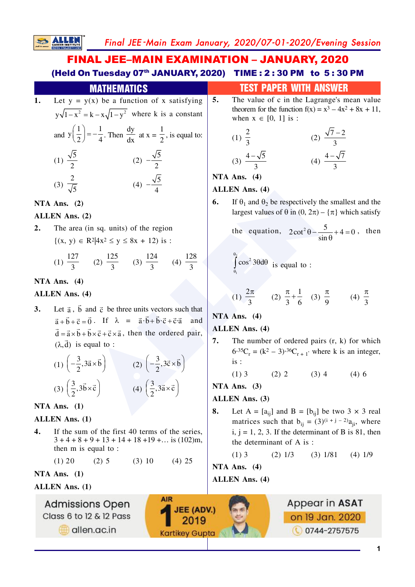# FINAL JEE–MAIN EXAMINATION – JANUARY, 2020 (Held On Tuesday 07<sup>th</sup> JANUARY, 2020) TIME: 2:30 PM to 5:30 PM

**1.** Let  $y = y(x)$  be a function of x satisfying  $y\sqrt{1-x^2} = k - x\sqrt{1-y^2}$  where k is a constant and  $y\left(\frac{1}{2}\right) = -\frac{1}{4}$ . Then dy  $\frac{dy}{dx}$  at  $x = \frac{1}{2}$ , is equal to: (1)  $\frac{\sqrt{5}}{2}$ (2)  $-\frac{\sqrt{5}}{2}$ (3)  $\frac{2}{\sqrt{5}}$ (4)  $-\frac{\sqrt{5}}{4}$ **MATHEMATICS TEST PAPER WITH ANSWER** 

**NTA Ans. (2)**

**SALLEN** 

## **ALLEN Ans. (2)**

2. The area (in sq. units) of the region  ${(x, y) \in \mathbb{R}^2 | 4x^2 \le y \le 8x + 12}$  is :

(1) 
$$
\frac{127}{3}
$$
 (2)  $\frac{125}{3}$  (3)  $\frac{124}{3}$  (4)  $\frac{128}{3}$ 

## **NTA Ans. (4)**

## **ALLEN Ans. (4)**

**ALLEN Ans.** (4)<br>
2)<br>
(in sq. units) of the region<br>  $\mathbb{R}^2 |4x^2 \le y \le 8x + 12$ ) is:<br>
(2)  $\frac{125}{3}$  (3)  $\frac{124}{3}$  (4)  $\frac{128}{3}$ <br>
4)<br>
4)<br>
4)<br>
4)<br>
4)  $\frac{125}{3}$  (3)  $\frac{124}{3}$  (4)  $\frac{128}{3}$ <br>  $\int_{0}^{\frac{\pi}{3}} \cos^2 3\theta$ **3.** Let  $\vec{a}$ ,  $\vec{b}$  and  $\vec{c}$  be three units vectors such that  $\vec{a} + \vec{b} + \vec{c} = \vec{0}$ . If  $\lambda = \vec{a} \cdot \vec{b} + \vec{b} \cdot \vec{c} + \vec{c} \cdot \vec{a}$  and  $\vec{d} = \vec{a} \times \vec{b} + \vec{b} \times \vec{c} + \vec{c} \times \vec{a}$ , then the ordered pair,  $(\lambda, \vec{d})$  is equal to :

(1) 
$$
\left(-\frac{3}{2}, 3\vec{a} \times \vec{b}\right)
$$
  
\n(2)  $\left(-\frac{3}{2}, 3\vec{c} \times \vec{b}\right)$   
\n(3)  $\left(\frac{3}{2}, 3\vec{b} \times \vec{c}\right)$   
\n(4)  $\left(\frac{3}{2}, 3\vec{a} \times \vec{c}\right)$ 

## **NTA Ans. (1)**

# **ALLEN Ans. (1)**

- **4.** If the sum of the first 40 terms of the series,  $3+4+8+9+13+14+18+19+\ldots$  is  $(102)m$ , then m is equal to :
	- $(1) 20$   $(2) 5$   $(3) 10$   $(4) 25$

# **NTA Ans. (1)**

# **ALLEN Ans. (1)**

**Admissions Open** Class 6 to 12 & 12 Pass

dlen.ac.in

- **5.** The value of c in the Lagrange's mean value
- theorem for the function  $f(x) = x^3 4x^2 + 8x + 11$ , when  $x \in [0, 1]$  is:

(1) 
$$
\frac{2}{3}
$$
   
\n(2)  $\frac{\sqrt{7}-2}{3}$    
\n(3)  $\frac{4-\sqrt{5}}{3}$    
\n(4)  $\frac{4-\sqrt{7}}{3}$ 

**NTA Ans. (4)**

# **ALLEN Ans. (4)**

**6.** If  $\theta_1$  and  $\theta_2$  be respectively the smallest and the largest values of  $\theta$  in  $(0, 2\pi) - {\pi}$  which satisfy

the equation,  $2\cot^2 \theta - \frac{5}{\sin \theta} + 4 = 0$ sin , then

$$
\int_{\theta_1}^{\theta_2} \cos^2 3\theta \, d\theta
$$
 is equal to :

(1) 
$$
\frac{2\pi}{3}
$$
 (2)  $\frac{\pi}{3} + \frac{1}{6}$  (3)  $\frac{\pi}{9}$  (4)  $\frac{\pi}{3}$ 

# **NTA Ans. (4)**

# **ALLEN Ans. (4)**

**7.** The number of ordered pairs  $(r, k)$  for which  $6.35C_r = (k^2 - 3)\cdot 36C_{r+1}$ , where k is an integer,  $is:$ 

$$
(1) 3 \t (2) 2 \t (3) 4 \t (4) 6
$$

# **NTA Ans. (3)**

## **ALLEN Ans. (3)**

**8.** Let  $A = [a_{ij}]$  and  $B = [b_{ij}]$  be two 3  $\times$  3 real matrices such that  $b_{ij} = (3)^{(i+j-2)} a_{ji}$ , where i,  $j = 1, 2, 3$ . If the determinant of B is 81, then the determinant of  $A$  is:

$$
(1) 3 \qquad \qquad (2) 1/3 \qquad (3) 1/81 \qquad (4) 1/9
$$

**NTA Ans. (4)**

**ALLEN Ans. (4)**

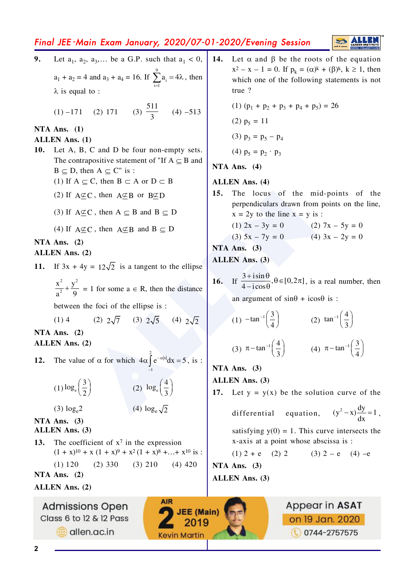# Final JEE-Main Exam January, 2020/07-01-2020/Evening Session



- Let  $a_1, a_2, a_3,...$  be a G.P. such that  $a_1 < 0$ ,  $9.$  $14.$ Let  $\alpha$  and  $\beta$  be the roots of the equation  $a_1 + a_2 = 4$  and  $a_3 + a_4 = 16$ . If  $\sum_{i=1}^{9} a_i = 4\lambda$ , then  $true$ ?  $\lambda$  is equal to : (1)  $-171$  (2) 171 (3)  $\frac{511}{2}$  (4)  $-513$ NTA Ans.  $(1)$ **ALLEN Ans.** (1) Let A, B, C and D be four non-empty sets. 10. The contrapositive statement of "If  $A \subseteq B$  and  $B \subseteq D$ , then  $A \subseteq C''$  is : (1) If  $A \subseteq C$ , then  $B \subset A$  or  $D \subset B$  $15.$ (2) If  $A \not\subset C$ , then  $A \not\subseteq B$  or  $B \not\subseteq D$ (3) If  $A \not\subset C$ , then  $A \subset B$  and  $B \subset D$ (4) If  $A \not\subset C$ , then  $A \not\subset B$  and  $B \subseteq D$ NTA Ans.  $(2)$ ALLEN Ans. (2) If  $3x + 4y = 12\sqrt{2}$  is a tangent to the ellipse  $11.$  $\frac{x^2}{2} + \frac{y^2}{2} = 1$  for some  $a \in R$ , then the distance between the foci of the ellipse is : (2)  $2\sqrt{7}$  (3)  $2\sqrt{5}$  (4)  $2\sqrt{2}$  $(1)$  4 NTA Ans.  $(2)$ **ALLEN** Ans. (2) The value of  $\alpha$  for which  $4\alpha \int_{0}^{\infty} e^{-\alpha |x|} dx = 5$ , is :  $12.$  $(1) \log_e \left(\frac{3}{2}\right)$ (2)  $\log_e \left( \frac{4}{3} \right)$ (4)  $\log_e \sqrt{2}$  $(3) \log_e 2$ differential NTA Ans.  $(3)$ ALLEN Ans. (3) The coefficient of  $x^7$  in the expression 13.  $(1 + x)^{10} + x (1 + x)^9 + x^2 (1 + x)^8 + ... + x^{10}$  is :  $(2)$  330  $(3)$  210  $(4)$  420  $(1) 120$ NTA Ans.  $(2)$ **ALLEN Ans. (2) AIR Admissions Open JEE** (Main) Class 6 to 12 & 12 Pass 2019 dlen.ac.in **Kevin Martin** 
	- $x^{2} x 1 = 0$ . If  $p_{k} = (\alpha)^{k} + (\beta)^{k}$ ,  $k \ge 1$ , then which one of the following statements is not (1)  $(p_1 + p_2 + p_3 + p_4 + p_5) = 26$  $(2)$   $p_5 = 11$ (3)  $p_3 = p_5 - p_4$ (4)  $p_5 = p_2 \cdot p_3$ NTA Ans.  $(4)$ **ALLEN** Ans. (4) The locus of the mid-points of the perpendiculars drawn from points on the line,  $x = 2y$  to the line  $x = y$  is : (1)  $2x - 3y = 0$  (2)  $7x - 5y = 0$ (3)  $5x - 7y = 0$  <br> (4)  $3x - 2y = 0$ NTA Ans.  $(3)$ **ALLEN** Ans. (3)
	- 16. If  $\frac{3 + i \sin \theta}{4 i \cos \theta}$ ,  $\theta \in [0, 2\pi]$ , is a real number, then

an argument of  $sin\theta$  +  $icos\theta$  is :

(1) 
$$
-\tan^{-1}\left(\frac{3}{4}\right)
$$
 (2)  $\tan^{-1}\left(\frac{4}{3}\right)$ 

3) 
$$
\pi - \tan^{-1}\left(\frac{4}{3}\right)
$$
 (4)  $\pi - \tan^{-1}\left(\frac{3}{4}\right)$ 

NTA Ans.  $(3)$ 

**ALLEN Ans. (3)** 

17. Let  $y = y(x)$  be the solution curve of the

equation, 
$$
(y^2 - x) \frac{dy}{dx} = 1
$$
,

satisfying  $y(0) = 1$ . This curve intersects the x-axis at a point whose abscissa is :

$$
(1) 2 + e \t(2) 2 \t(3) 2 - e \t(4) - e
$$

NTA Ans.  $(3)$ ALLEN Ans. (3)

> Appear in ASAT on 19 Jan. 2020 **0744-2757575**

 $\overline{2}$